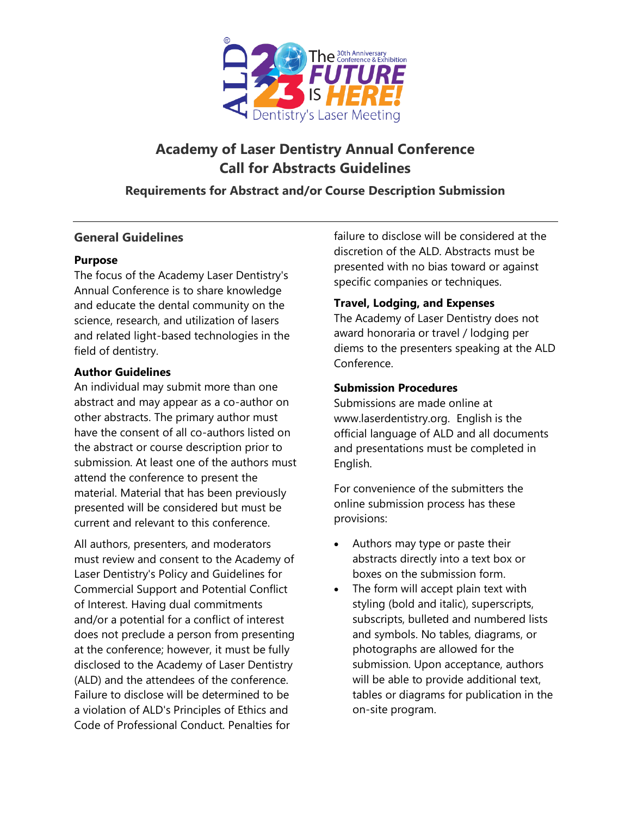

# **Academy of Laser Dentistry Annual Conference Call for Abstracts Guidelines**

## **Requirements for Abstract and/or Course Description Submission**

## **General Guidelines**

#### **Purpose**

The focus of the Academy Laser Dentistry's Annual Conference is to share knowledge and educate the dental community on the science, research, and utilization of lasers and related light-based technologies in the field of dentistry.

### **Author Guidelines**

An individual may submit more than one abstract and may appear as a co-author on other abstracts. The primary author must have the consent of all co-authors listed on the abstract or course description prior to submission. At least one of the authors must attend the conference to present the material. Material that has been previously presented will be considered but must be current and relevant to this conference.

All authors, presenters, and moderators must review and consent to the Academy of Laser Dentistry's Policy and Guidelines for Commercial Support and Potential Conflict of Interest. Having dual commitments and/or a potential for a conflict of interest does not preclude a person from presenting at the conference; however, it must be fully disclosed to the Academy of Laser Dentistry (ALD) and the attendees of the conference. Failure to disclose will be determined to be a violation of ALD's Principles of Ethics and Code of Professional Conduct. Penalties for

failure to disclose will be considered at the discretion of the ALD. Abstracts must be presented with no bias toward or against specific companies or techniques.

### **Travel, Lodging, and Expenses**

The Academy of Laser Dentistry does not award honoraria or travel / lodging per diems to the presenters speaking at the ALD Conference.

### **Submission Procedures**

Submissions are made online at www.laserdentistry.org. English is the official language of ALD and all documents and presentations must be completed in English.

For convenience of the submitters the online submission process has these provisions:

- Authors may type or paste their abstracts directly into a text box or boxes on the submission form.
- The form will accept plain text with styling (bold and italic), superscripts, subscripts, bulleted and numbered lists and symbols. No tables, diagrams, or photographs are allowed for the submission. Upon acceptance, authors will be able to provide additional text, tables or diagrams for publication in the on-site program.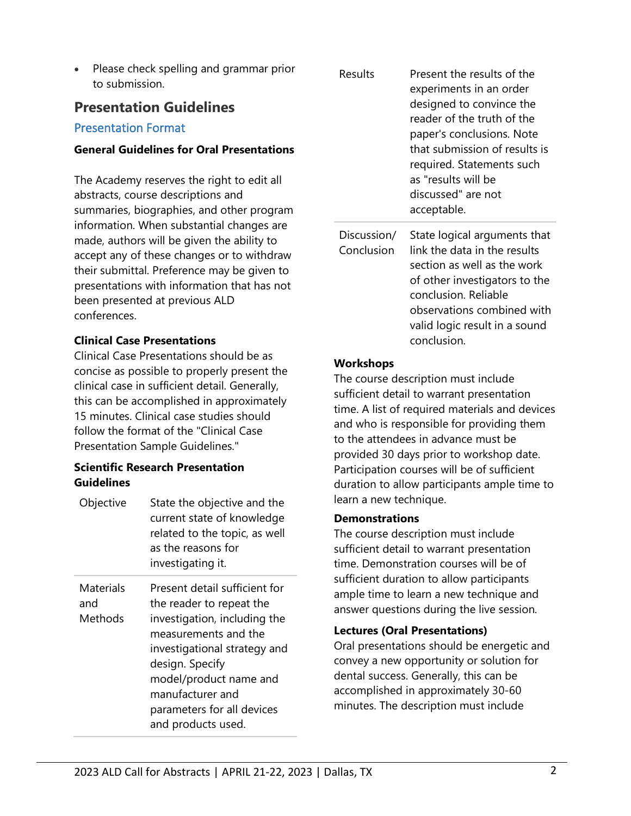• Please check spelling and grammar prior to submission.

## **Presentation Guidelines**

## Presentation Format

### **General Guidelines for Oral Presentations**

The Academy reserves the right to edit all abstracts, course descriptions and summaries, biographies, and other program information. When substantial changes are made, authors will be given the ability to accept any of these changes or to withdraw their submittal. Preference may be given to presentations with information that has not been presented at previous ALD conferences.

## **Clinical Case Presentations**

Clinical Case Presentations should be as concise as possible to properly present the clinical case in sufficient detail. Generally, this can be accomplished in approximately 15 minutes. Clinical case studies should follow the format of the "Clinical Case Presentation Sample Guidelines."

### **Scientific Research Presentation Guidelines**

| Objective                   | State the objective and the<br>current state of knowledge<br>related to the topic, as well<br>as the reasons for<br>investigating it.                                                                                                                                  |
|-----------------------------|------------------------------------------------------------------------------------------------------------------------------------------------------------------------------------------------------------------------------------------------------------------------|
| Materials<br>and<br>Methods | Present detail sufficient for<br>the reader to repeat the<br>investigation, including the<br>measurements and the<br>investigational strategy and<br>design. Specify<br>model/product name and<br>manufacturer and<br>parameters for all devices<br>and products used. |

| Results                   | Present the results of the<br>experiments in an order<br>designed to convince the<br>reader of the truth of the<br>paper's conclusions. Note<br>that submission of results is<br>required. Statements such<br>as "results will be<br>discussed" are not<br>acceptable. |
|---------------------------|------------------------------------------------------------------------------------------------------------------------------------------------------------------------------------------------------------------------------------------------------------------------|
| Discussion/<br>Conclusion | State logical arguments that<br>link the data in the results<br>section as well as the work<br>of other investigators to the<br>conclusion. Reliable<br>observations combined with<br>valid logic result in a sound<br>conclusion                                      |

## **Workshops**

The course description must include sufficient detail to warrant presentation time. A list of required materials and devices and who is responsible for providing them to the attendees in advance must be provided 30 days prior to workshop date. Participation courses will be of sufficient duration to allow participants ample time to learn a new technique.

### **Demonstrations**

The course description must include sufficient detail to warrant presentation time. Demonstration courses will be of sufficient duration to allow participants ample time to learn a new technique and answer questions during the live session.

### **Lectures (Oral Presentations)**

Oral presentations should be energetic and convey a new opportunity or solution for dental success. Generally, this can be accomplished in approximately 30-60 minutes. The description must include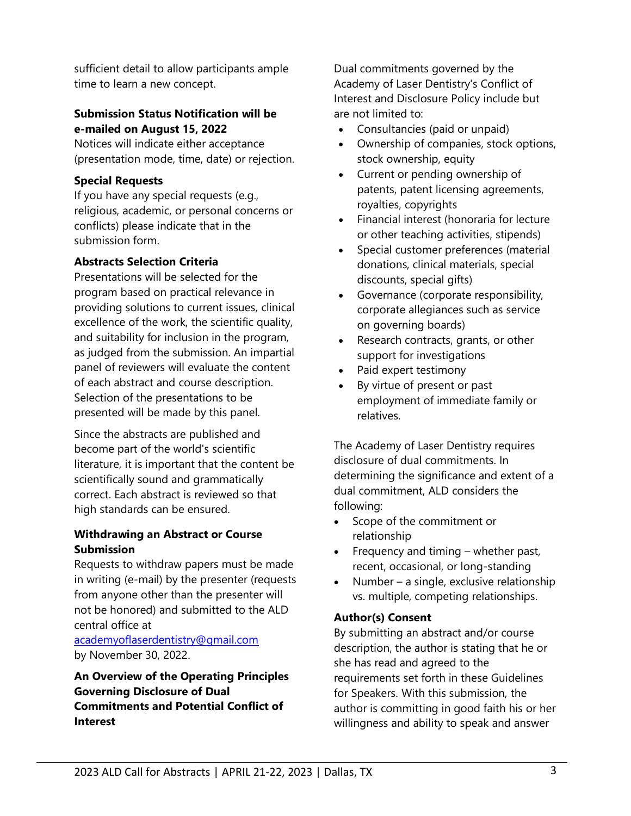sufficient detail to allow participants ample time to learn a new concept.

## **Submission Status Notification will be e-mailed on August 15, 2022**

Notices will indicate either acceptance (presentation mode, time, date) or rejection.

## **Special Requests**

If you have any special requests (e.g., religious, academic, or personal concerns or conflicts) please indicate that in the submission form.

## **Abstracts Selection Criteria**

Presentations will be selected for the program based on practical relevance in providing solutions to current issues, clinical excellence of the work, the scientific quality, and suitability for inclusion in the program, as judged from the submission. An impartial panel of reviewers will evaluate the content of each abstract and course description. Selection of the presentations to be presented will be made by this panel.

Since the abstracts are published and become part of the world's scientific literature, it is important that the content be scientifically sound and grammatically correct. Each abstract is reviewed so that high standards can be ensured.

### **Withdrawing an Abstract or Course Submission**

Requests to withdraw papers must be made in writing (e-mail) by the presenter (requests from anyone other than the presenter will not be honored) and submitted to the ALD central office at

[academyoflaserdentistry@gmail.com](mailto:academyoflaserdentistry@gmail.com) by November 30, 2022.

## **An Overview of the Operating Principles Governing Disclosure of Dual Commitments and Potential Conflict of Interest**

Dual commitments governed by the Academy of Laser Dentistry's Conflict of Interest and Disclosure Policy include but are not limited to:

- Consultancies (paid or unpaid)
- Ownership of companies, stock options, stock ownership, equity
- Current or pending ownership of patents, patent licensing agreements, royalties, copyrights
- Financial interest (honoraria for lecture or other teaching activities, stipends)
- Special customer preferences (material donations, clinical materials, special discounts, special gifts)
- Governance (corporate responsibility, corporate allegiances such as service on governing boards)
- Research contracts, grants, or other support for investigations
- Paid expert testimony
- By virtue of present or past employment of immediate family or relatives.

The Academy of Laser Dentistry requires disclosure of dual commitments. In determining the significance and extent of a dual commitment, ALD considers the following:

- Scope of the commitment or relationship
- Frequency and timing whether past, recent, occasional, or long-standing
- Number a single, exclusive relationship vs. multiple, competing relationships.

## **Author(s) Consent**

By submitting an abstract and/or course description, the author is stating that he or she has read and agreed to the requirements set forth in these Guidelines for Speakers. With this submission, the author is committing in good faith his or her willingness and ability to speak and answer